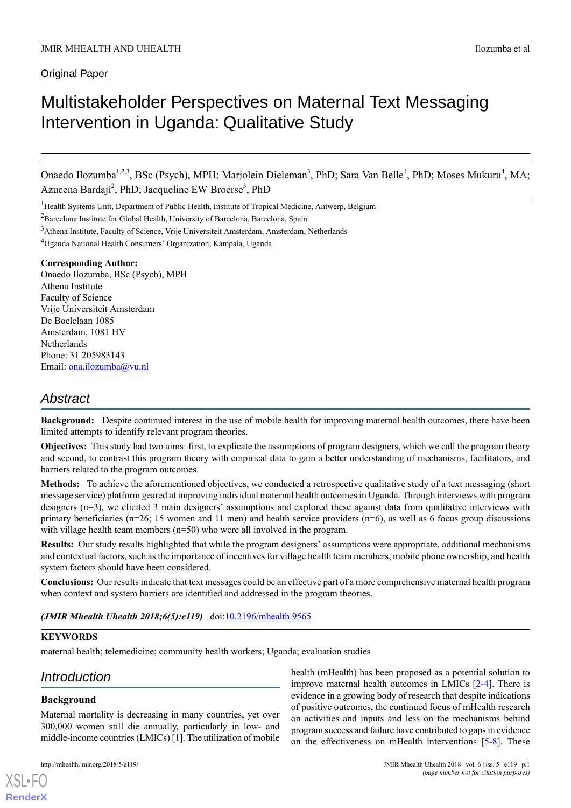**Original Paper** 

# Multistakeholder Perspectives on Maternal Text Messaging Intervention in Uganda: Qualitative Study

Onaedo Ilozumba<sup>1,2,3</sup>, BSc (Psych), MPH; Marjolein Dieleman<sup>3</sup>, PhD; Sara Van Belle<sup>1</sup>, PhD; Moses Mukuru<sup>4</sup>, MA; Azucena Bardají<sup>2</sup>, PhD; Jacqueline EW Broerse<sup>3</sup>, PhD

<sup>1</sup>Health Systems Unit, Department of Public Health, Institute of Tropical Medicine, Antwerp, Belgium

 $2$ Barcelona Institute for Global Health, University of Barcelona, Barcelona, Spain

<sup>4</sup>Uganda National Health Consumers' Organization, Kampala, Uganda

# **Corresponding Author:**

Onaedo Ilozumba, BSc (Psych), MPH Athena Institute Faculty of Science Vrije Universiteit Amsterdam De Boelelaan 1085 Amsterdam, 1081 HV **Netherlands** Phone: 31 205983143 Email: [ona.ilozumba@vu.nl](mailto:ona.ilozumba@vu.nl)

# *Abstract*

**Background:** Despite continued interest in the use of mobile health for improving maternal health outcomes, there have been limited attempts to identify relevant program theories.

**Objectives:** This study had two aims: first, to explicate the assumptions of program designers, which we call the program theory and second, to contrast this program theory with empirical data to gain a better understanding of mechanisms, facilitators, and barriers related to the program outcomes.

**Methods:** To achieve the aforementioned objectives, we conducted a retrospective qualitative study of a text messaging (short message service) platform geared at improving individual maternal health outcomes in Uganda. Through interviews with program designers (n=3), we elicited 3 main designers' assumptions and explored these against data from qualitative interviews with primary beneficiaries (n=26; 15 women and 11 men) and health service providers (n=6), as well as 6 focus group discussions with village health team members (n=50) who were all involved in the program.

**Results:** Our study results highlighted that while the program designers' assumptions were appropriate, additional mechanisms and contextual factors, such as the importance of incentives for village health team members, mobile phone ownership, and health system factors should have been considered.

**Conclusions:** Our results indicate that text messages could be an effective part of a more comprehensive maternal health program when context and system barriers are identified and addressed in the program theories.

*(JMIR Mhealth Uhealth 2018;6(5):e119)* doi:[10.2196/mhealth.9565](http://dx.doi.org/10.2196/mhealth.9565)

# **KEYWORDS**

maternal health; telemedicine; community health workers; Uganda; evaluation studies

# *Introduction*

# **Background**

[XSL](http://www.w3.org/Style/XSL)•FO **[RenderX](http://www.renderx.com/)**

Maternal mortality is decreasing in many countries, yet over 300,000 women still die annually, particularly in low- and middle-income countries (LMICs) [\[1](#page-10-0)]. The utilization of mobile

health (mHealth) has been proposed as a potential solution to improve maternal health outcomes in LMICs [\[2](#page-10-1)-[4\]](#page-10-2). There is evidence in a growing body of research that despite indications of positive outcomes, the continued focus of mHealth research on activities and inputs and less on the mechanisms behind program success and failure have contributed to gaps in evidence on the effectiveness on mHealth interventions [\[5](#page-10-3)-[8](#page-10-4)]. These

<sup>3</sup>Athena Institute, Faculty of Science, Vrije Universiteit Amsterdam, Amsterdam, Netherlands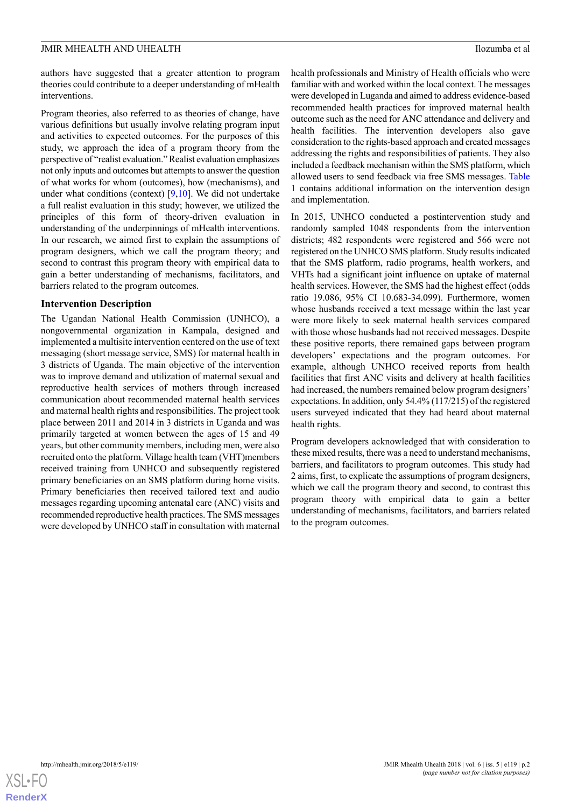authors have suggested that a greater attention to program theories could contribute to a deeper understanding of mHealth interventions.

Program theories, also referred to as theories of change, have various definitions but usually involve relating program input and activities to expected outcomes. For the purposes of this study, we approach the idea of a program theory from the perspective of "realist evaluation." Realist evaluation emphasizes not only inputs and outcomes but attempts to answer the question of what works for whom (outcomes), how (mechanisms), and under what conditions (context) [\[9](#page-10-5),[10\]](#page-10-6). We did not undertake a full realist evaluation in this study; however, we utilized the principles of this form of theory-driven evaluation in understanding of the underpinnings of mHealth interventions. In our research, we aimed first to explain the assumptions of program designers, which we call the program theory; and second to contrast this program theory with empirical data to gain a better understanding of mechanisms, facilitators, and barriers related to the program outcomes.

# **Intervention Description**

The Ugandan National Health Commission (UNHCO), a nongovernmental organization in Kampala, designed and implemented a multisite intervention centered on the use of text messaging (short message service, SMS) for maternal health in 3 districts of Uganda. The main objective of the intervention was to improve demand and utilization of maternal sexual and reproductive health services of mothers through increased communication about recommended maternal health services and maternal health rights and responsibilities. The project took place between 2011 and 2014 in 3 districts in Uganda and was primarily targeted at women between the ages of 15 and 49 years, but other community members, including men, were also recruited onto the platform. Village health team (VHT)members received training from UNHCO and subsequently registered primary beneficiaries on an SMS platform during home visits. Primary beneficiaries then received tailored text and audio messages regarding upcoming antenatal care (ANC) visits and recommended reproductive health practices. The SMS messages were developed by UNHCO staff in consultation with maternal

health professionals and Ministry of Health officials who were familiar with and worked within the local context. The messages were developed in Luganda and aimed to address evidence-based recommended health practices for improved maternal health outcome such as the need for ANC attendance and delivery and health facilities. The intervention developers also gave consideration to the rights-based approach and created messages addressing the rights and responsibilities of patients. They also included a feedback mechanism within the SMS platform, which allowed users to send feedback via free SMS messages. [Table](#page-2-0) [1](#page-2-0) contains additional information on the intervention design and implementation.

In 2015, UNHCO conducted a postintervention study and randomly sampled 1048 respondents from the intervention districts; 482 respondents were registered and 566 were not registered on the UNHCO SMS platform. Study results indicated that the SMS platform, radio programs, health workers, and VHTs had a significant joint influence on uptake of maternal health services. However, the SMS had the highest effect (odds ratio 19.086, 95% CI 10.683-34.099). Furthermore, women whose husbands received a text message within the last year were more likely to seek maternal health services compared with those whose husbands had not received messages. Despite these positive reports, there remained gaps between program developers' expectations and the program outcomes. For example, although UNHCO received reports from health facilities that first ANC visits and delivery at health facilities had increased, the numbers remained below program designers' expectations. In addition, only 54.4% (117/215) of the registered users surveyed indicated that they had heard about maternal health rights.

Program developers acknowledged that with consideration to these mixed results, there was a need to understand mechanisms, barriers, and facilitators to program outcomes. This study had 2 aims, first, to explicate the assumptions of program designers, which we call the program theory and second, to contrast this program theory with empirical data to gain a better understanding of mechanisms, facilitators, and barriers related to the program outcomes.

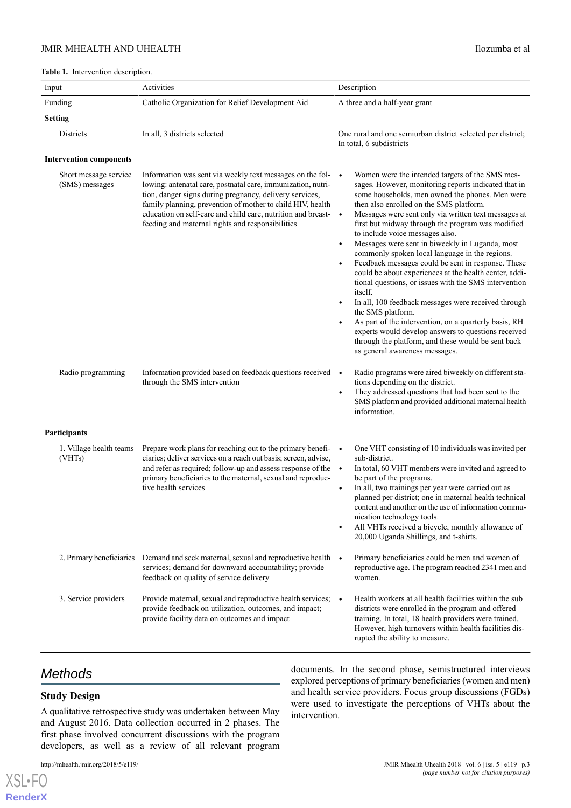<span id="page-2-0"></span>

| Input                                   | Activities                                                                                                                                                                                                                                                                                                                                                               | Description                                                                                                                                                                                                                                                                                                                                                                                                                                                                                                                                                                                                                                                                                                                                                                                                                                                                                                                                                                            |
|-----------------------------------------|--------------------------------------------------------------------------------------------------------------------------------------------------------------------------------------------------------------------------------------------------------------------------------------------------------------------------------------------------------------------------|----------------------------------------------------------------------------------------------------------------------------------------------------------------------------------------------------------------------------------------------------------------------------------------------------------------------------------------------------------------------------------------------------------------------------------------------------------------------------------------------------------------------------------------------------------------------------------------------------------------------------------------------------------------------------------------------------------------------------------------------------------------------------------------------------------------------------------------------------------------------------------------------------------------------------------------------------------------------------------------|
| Funding                                 | Catholic Organization for Relief Development Aid                                                                                                                                                                                                                                                                                                                         | A three and a half-year grant                                                                                                                                                                                                                                                                                                                                                                                                                                                                                                                                                                                                                                                                                                                                                                                                                                                                                                                                                          |
| <b>Setting</b>                          |                                                                                                                                                                                                                                                                                                                                                                          |                                                                                                                                                                                                                                                                                                                                                                                                                                                                                                                                                                                                                                                                                                                                                                                                                                                                                                                                                                                        |
| Districts                               | In all, 3 districts selected                                                                                                                                                                                                                                                                                                                                             | One rural and one semiurban district selected per district;<br>In total, 6 subdistricts                                                                                                                                                                                                                                                                                                                                                                                                                                                                                                                                                                                                                                                                                                                                                                                                                                                                                                |
| <b>Intervention components</b>          |                                                                                                                                                                                                                                                                                                                                                                          |                                                                                                                                                                                                                                                                                                                                                                                                                                                                                                                                                                                                                                                                                                                                                                                                                                                                                                                                                                                        |
| Short message service<br>(SMS) messages | Information was sent via weekly text messages on the fol- •<br>lowing: antenatal care, postnatal care, immunization, nutri-<br>tion, danger signs during pregnancy, delivery services,<br>family planning, prevention of mother to child HIV, health<br>education on self-care and child care, nutrition and breast-<br>feeding and maternal rights and responsibilities | Women were the intended targets of the SMS mes-<br>sages. However, monitoring reports indicated that in<br>some households, men owned the phones. Men were<br>then also enrolled on the SMS platform.<br>Messages were sent only via written text messages at<br>first but midway through the program was modified<br>to include voice messages also.<br>Messages were sent in biweekly in Luganda, most<br>$\bullet$<br>commonly spoken local language in the regions.<br>Feedback messages could be sent in response. These<br>$\bullet$<br>could be about experiences at the health center, addi-<br>tional questions, or issues with the SMS intervention<br>itself.<br>In all, 100 feedback messages were received through<br>$\bullet$<br>the SMS platform.<br>As part of the intervention, on a quarterly basis, RH<br>$\bullet$<br>experts would develop answers to questions received<br>through the platform, and these would be sent back<br>as general awareness messages. |
| Radio programming                       | Information provided based on feedback questions received •<br>through the SMS intervention                                                                                                                                                                                                                                                                              | Radio programs were aired biweekly on different sta-<br>tions depending on the district.<br>They addressed questions that had been sent to the<br>$\bullet$<br>SMS platform and provided additional maternal health<br>information.                                                                                                                                                                                                                                                                                                                                                                                                                                                                                                                                                                                                                                                                                                                                                    |
| <b>Participants</b>                     |                                                                                                                                                                                                                                                                                                                                                                          |                                                                                                                                                                                                                                                                                                                                                                                                                                                                                                                                                                                                                                                                                                                                                                                                                                                                                                                                                                                        |
| 1. Village health teams<br>(VHTs)       | Prepare work plans for reaching out to the primary benefi- $\bullet$<br>ciaries; deliver services on a reach out basis; screen, advise,<br>and refer as required; follow-up and assess response of the •<br>primary beneficiaries to the maternal, sexual and reproduc-<br>tive health services                                                                          | One VHT consisting of 10 individuals was invited per<br>sub-district.<br>In total, 60 VHT members were invited and agreed to<br>be part of the programs.<br>In all, two trainings per year were carried out as<br>$\bullet$<br>planned per district; one in maternal health technical<br>content and another on the use of information commu-<br>nication technology tools.<br>All VHTs received a bicycle, monthly allowance of<br>$\bullet$<br>20,000 Uganda Shillings, and t-shirts.                                                                                                                                                                                                                                                                                                                                                                                                                                                                                                |
| 2. Primary beneficiaries                | Demand and seek maternal, sexual and reproductive health .<br>services; demand for downward accountability; provide<br>feedback on quality of service delivery                                                                                                                                                                                                           | Primary beneficiaries could be men and women of<br>reproductive age. The program reached 2341 men and<br>women.                                                                                                                                                                                                                                                                                                                                                                                                                                                                                                                                                                                                                                                                                                                                                                                                                                                                        |
| 3. Service providers                    | Provide maternal, sexual and reproductive health services;<br>provide feedback on utilization, outcomes, and impact;<br>provide facility data on outcomes and impact                                                                                                                                                                                                     | Health workers at all health facilities within the sub-<br>districts were enrolled in the program and offered<br>training. In total, 18 health providers were trained.<br>However, high turnovers within health facilities dis-<br>rupted the ability to measure.                                                                                                                                                                                                                                                                                                                                                                                                                                                                                                                                                                                                                                                                                                                      |

# *Methods*

# **Study Design**

[XSL](http://www.w3.org/Style/XSL)•FO **[RenderX](http://www.renderx.com/)**

A qualitative retrospective study was undertaken between May and August 2016. Data collection occurred in 2 phases. The first phase involved concurrent discussions with the program developers, as well as a review of all relevant program

documents. In the second phase, semistructured interviews explored perceptions of primary beneficiaries (women and men) and health service providers. Focus group discussions (FGDs) were used to investigate the perceptions of VHTs about the intervention.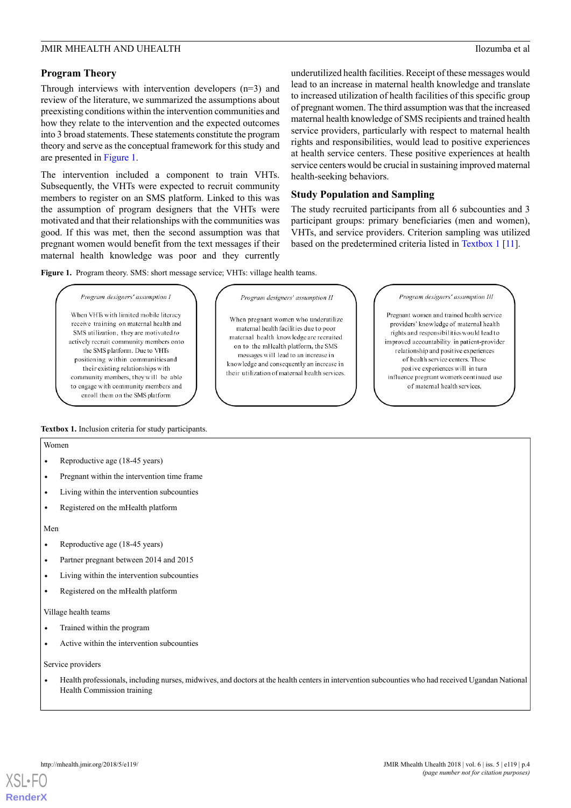# **Program Theory**

Through interviews with intervention developers (n=3) and review of the literature, we summarized the assumptions about preexisting conditions within the intervention communities and how they relate to the intervention and the expected outcomes into 3 broad statements. These statements constitute the program theory and serve as the conceptual framework for this study and are presented in [Figure 1.](#page-3-0)

The intervention included a component to train VHTs. Subsequently, the VHTs were expected to recruit community members to register on an SMS platform. Linked to this was the assumption of program designers that the VHTs were motivated and that their relationships with the communities was good. If this was met, then the second assumption was that pregnant women would benefit from the text messages if their maternal health knowledge was poor and they currently

underutilized health facilities. Receipt of these messages would lead to an increase in maternal health knowledge and translate to increased utilization of health facilities of this specific group of pregnant women. The third assumption was that the increased maternal health knowledge of SMS recipients and trained health service providers, particularly with respect to maternal health rights and responsibilities, would lead to positive experiences at health service centers. These positive experiences at health service centers would be crucial in sustaining improved maternal health-seeking behaviors.

# **Study Population and Sampling**

The study recruited participants from all 6 subcounties and 3 participant groups: primary beneficiaries (men and women), VHTs, and service providers. Criterion sampling was utilized based on the predetermined criteria listed in [Textbox 1](#page-3-1) [\[11\]](#page-10-7).

<span id="page-3-0"></span>**Figure 1.** Program theory. SMS: short message service; VHTs: village health teams.

#### Program designers' assumption I

When VHTs with limited mobile literacy receive training on maternal health and SMS utilization, they are motivated to actively recruit community members onto the SMS platform. Due to VHTs positioning within communities and their existing relationships with community members, they will be able to engage with community members and enroll them on the SMS platform

#### Program designers' assumption II

When pregnant women who underutilize maternal health facilities due to poor maternal health knowledge are recruited on to the mHealth platform the SMS messages will lead to an increase in knowledge and consequently an increase in their utilization of maternal health services. Program designers' assumption Ill

Pregnant women and trained health service providers' knowledge of maternal health rights and responsibilities would lead to improved accountability in patient-provider relationship and positive experiences of health service centers. These postive experiences will in turn influence pregnant women's continued use of maternal health services.

# <span id="page-3-1"></span>**Textbox 1.** Inclusion criteria for study participants.

#### Women

- Reproductive age (18-45 years)
- Pregnant within the intervention time frame
- Living within the intervention subcounties
- Registered on the mHealth platform

#### Men

- Reproductive age (18-45 years)
- Partner pregnant between 2014 and 2015
- Living within the intervention subcounties
- Registered on the mHealth platform

#### Village health teams

- Trained within the program
- Active within the intervention subcounties

#### Service providers

• Health professionals, including nurses, midwives, and doctors at the health centers in intervention subcounties who had received Ugandan National Health Commission training

**[RenderX](http://www.renderx.com/)**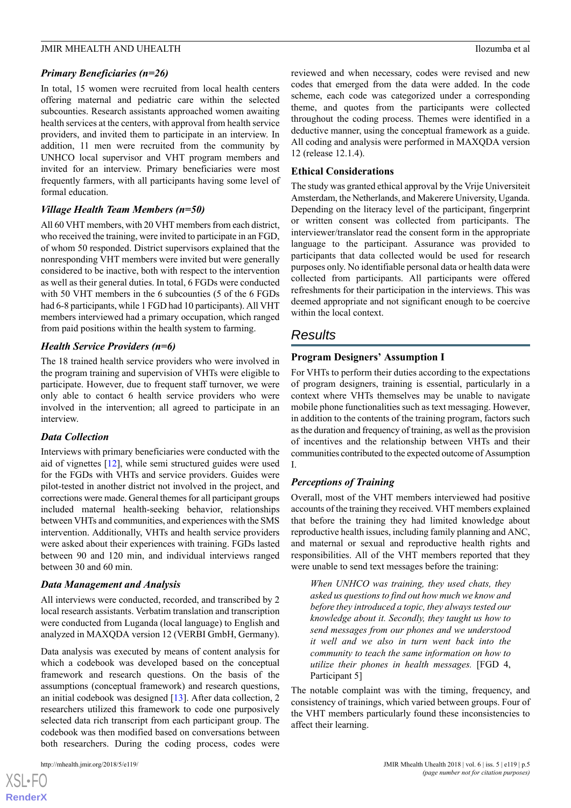# *Primary Beneficiaries (n=26)*

In total, 15 women were recruited from local health centers offering maternal and pediatric care within the selected subcounties. Research assistants approached women awaiting health services at the centers, with approval from health service providers, and invited them to participate in an interview. In addition, 11 men were recruited from the community by UNHCO local supervisor and VHT program members and invited for an interview. Primary beneficiaries were most frequently farmers, with all participants having some level of formal education.

# *Village Health Team Members (n=50)*

All 60 VHT members, with 20 VHT members from each district, who received the training, were invited to participate in an FGD, of whom 50 responded. District supervisors explained that the nonresponding VHT members were invited but were generally considered to be inactive, both with respect to the intervention as well as their general duties. In total, 6 FGDs were conducted with 50 VHT members in the 6 subcounties (5 of the 6 FGDs had 6-8 participants, while 1 FGD had 10 participants). All VHT members interviewed had a primary occupation, which ranged from paid positions within the health system to farming.

# *Health Service Providers (n=6)*

The 18 trained health service providers who were involved in the program training and supervision of VHTs were eligible to participate. However, due to frequent staff turnover, we were only able to contact 6 health service providers who were involved in the intervention; all agreed to participate in an interview.

# *Data Collection*

Interviews with primary beneficiaries were conducted with the aid of vignettes [[12\]](#page-10-8), while semi structured guides were used for the FGDs with VHTs and service providers. Guides were pilot-tested in another district not involved in the project, and corrections were made. General themes for all participant groups included maternal health-seeking behavior, relationships between VHTs and communities, and experiences with the SMS intervention. Additionally, VHTs and health service providers were asked about their experiences with training. FGDs lasted between 90 and 120 min, and individual interviews ranged between 30 and 60 min.

# *Data Management and Analysis*

All interviews were conducted, recorded, and transcribed by 2 local research assistants. Verbatim translation and transcription were conducted from Luganda (local language) to English and analyzed in MAXQDA version 12 (VERBI GmbH, Germany).

Data analysis was executed by means of content analysis for which a codebook was developed based on the conceptual framework and research questions. On the basis of the assumptions (conceptual framework) and research questions, an initial codebook was designed [\[13](#page-10-9)]. After data collection, 2 researchers utilized this framework to code one purposively selected data rich transcript from each participant group. The codebook was then modified based on conversations between both researchers. During the coding process, codes were

[XSL](http://www.w3.org/Style/XSL)•FO **[RenderX](http://www.renderx.com/)** reviewed and when necessary, codes were revised and new codes that emerged from the data were added. In the code scheme, each code was categorized under a corresponding theme, and quotes from the participants were collected throughout the coding process. Themes were identified in a deductive manner, using the conceptual framework as a guide. All coding and analysis were performed in MAXQDA version 12 (release 12.1.4).

# **Ethical Considerations**

The study was granted ethical approval by the Vrije Universiteit Amsterdam, the Netherlands, and Makerere University, Uganda. Depending on the literacy level of the participant, fingerprint or written consent was collected from participants. The interviewer/translator read the consent form in the appropriate language to the participant. Assurance was provided to participants that data collected would be used for research purposes only. No identifiable personal data or health data were collected from participants. All participants were offered refreshments for their participation in the interviews. This was deemed appropriate and not significant enough to be coercive within the local context.

# *Results*

# **Program Designers' Assumption I**

For VHTs to perform their duties according to the expectations of program designers, training is essential, particularly in a context where VHTs themselves may be unable to navigate mobile phone functionalities such as text messaging. However, in addition to the contents of the training program, factors such as the duration and frequency of training, as well as the provision of incentives and the relationship between VHTs and their communities contributed to the expected outcome of Assumption I.

# *Perceptions of Training*

Overall, most of the VHT members interviewed had positive accounts of the training they received. VHT members explained that before the training they had limited knowledge about reproductive health issues, including family planning and ANC, and maternal or sexual and reproductive health rights and responsibilities. All of the VHT members reported that they were unable to send text messages before the training:

*When UNHCO was training, they used chats, they asked us questions to find out how much we know and before they introduced a topic, they always tested our knowledge about it. Secondly, they taught us how to send messages from our phones and we understood it well and we also in turn went back into the community to teach the same information on how to utilize their phones in health messages.* [FGD 4, Participant 5]

The notable complaint was with the timing, frequency, and consistency of trainings, which varied between groups. Four of the VHT members particularly found these inconsistencies to affect their learning.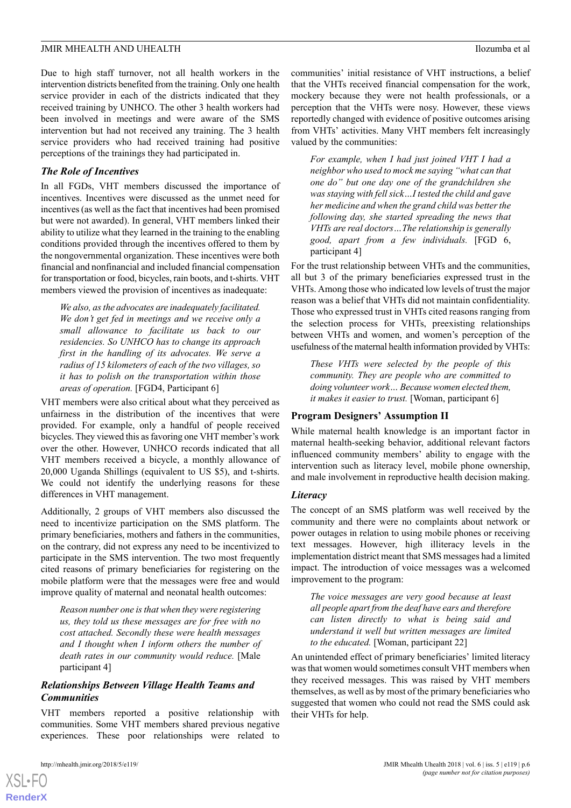Due to high staff turnover, not all health workers in the intervention districts benefited from the training. Only one health service provider in each of the districts indicated that they received training by UNHCO. The other 3 health workers had been involved in meetings and were aware of the SMS intervention but had not received any training. The 3 health service providers who had received training had positive perceptions of the trainings they had participated in.

# *The Role of Incentives*

In all FGDs, VHT members discussed the importance of incentives. Incentives were discussed as the unmet need for incentives (as well as the fact that incentives had been promised but were not awarded). In general, VHT members linked their ability to utilize what they learned in the training to the enabling conditions provided through the incentives offered to them by the nongovernmental organization. These incentives were both financial and nonfinancial and included financial compensation for transportation or food, bicycles, rain boots, and t-shirts. VHT members viewed the provision of incentives as inadequate:

*We also, as the advocates are inadequately facilitated. We don't get fed in meetings and we receive only a small allowance to facilitate us back to our residencies. So UNHCO has to change its approach first in the handling of its advocates. We serve a radius of 15 kilometers of each of the two villages, so it has to polish on the transportation within those areas of operation.* [FGD4, Participant 6]

VHT members were also critical about what they perceived as unfairness in the distribution of the incentives that were provided. For example, only a handful of people received bicycles. They viewed this as favoring one VHT member's work over the other. However, UNHCO records indicated that all VHT members received a bicycle, a monthly allowance of 20,000 Uganda Shillings (equivalent to US \$5), and t-shirts. We could not identify the underlying reasons for these differences in VHT management.

Additionally, 2 groups of VHT members also discussed the need to incentivize participation on the SMS platform. The primary beneficiaries, mothers and fathers in the communities, on the contrary, did not express any need to be incentivized to participate in the SMS intervention. The two most frequently cited reasons of primary beneficiaries for registering on the mobile platform were that the messages were free and would improve quality of maternal and neonatal health outcomes:

*Reason number one is that when they were registering us, they told us these messages are for free with no cost attached. Secondly these were health messages and I thought when I inform others the number of death rates in our community would reduce.* [Male participant 4]

# *Relationships Between Village Health Teams and Communities*

VHT members reported a positive relationship with communities. Some VHT members shared previous negative experiences. These poor relationships were related to

communities' initial resistance of VHT instructions, a belief that the VHTs received financial compensation for the work, mockery because they were not health professionals, or a perception that the VHTs were nosy. However, these views reportedly changed with evidence of positive outcomes arising from VHTs' activities. Many VHT members felt increasingly valued by the communities:

*For example, when I had just joined VHT I had a neighbor who used to mock me saying "what can that one do" but one day one of the grandchildren she was staying with fell sick…I tested the child and gave her medicine and when the grand child was better the following day, she started spreading the news that VHTs are real doctors…The relationship is generally good, apart from a few individuals.* [FGD 6, participant 4]

For the trust relationship between VHTs and the communities, all but 3 of the primary beneficiaries expressed trust in the VHTs. Among those who indicated low levels of trust the major reason was a belief that VHTs did not maintain confidentiality. Those who expressed trust in VHTs cited reasons ranging from the selection process for VHTs, preexisting relationships between VHTs and women, and women's perception of the usefulness of the maternal health information provided by VHTs:

*These VHTs were selected by the people of this community. They are people who are committed to doing volunteer work… Because women elected them, it makes it easier to trust.* [Woman, participant 6]

# **Program Designers' Assumption II**

While maternal health knowledge is an important factor in maternal health-seeking behavior, additional relevant factors influenced community members' ability to engage with the intervention such as literacy level, mobile phone ownership, and male involvement in reproductive health decision making.

# *Literacy*

The concept of an SMS platform was well received by the community and there were no complaints about network or power outages in relation to using mobile phones or receiving text messages. However, high illiteracy levels in the implementation district meant that SMS messages had a limited impact. The introduction of voice messages was a welcomed improvement to the program:

*The voice messages are very good because at least all people apart from the deaf have ears and therefore can listen directly to what is being said and understand it well but written messages are limited to the educated.* [Woman, participant 22]

An unintended effect of primary beneficiaries' limited literacy was that women would sometimes consult VHT members when they received messages. This was raised by VHT members themselves, as well as by most of the primary beneficiaries who suggested that women who could not read the SMS could ask their VHTs for help.

 $XS$  $\cdot$ FC **[RenderX](http://www.renderx.com/)**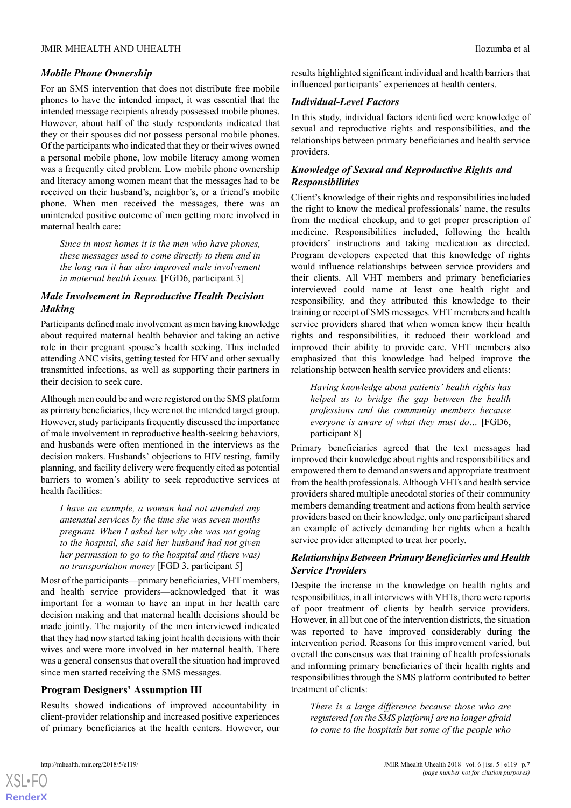# *Mobile Phone Ownership*

For an SMS intervention that does not distribute free mobile phones to have the intended impact, it was essential that the intended message recipients already possessed mobile phones. However, about half of the study respondents indicated that they or their spouses did not possess personal mobile phones. Of the participants who indicated that they or their wives owned a personal mobile phone, low mobile literacy among women was a frequently cited problem. Low mobile phone ownership and literacy among women meant that the messages had to be received on their husband's, neighbor's, or a friend's mobile phone. When men received the messages, there was an unintended positive outcome of men getting more involved in maternal health care:

*Since in most homes it is the men who have phones, these messages used to come directly to them and in the long run it has also improved male involvement in maternal health issues.* [FGD6, participant 3]

# *Male Involvement in Reproductive Health Decision Making*

Participants defined male involvement as men having knowledge about required maternal health behavior and taking an active role in their pregnant spouse's health seeking. This included attending ANC visits, getting tested for HIV and other sexually transmitted infections, as well as supporting their partners in their decision to seek care.

Although men could be and were registered on the SMS platform as primary beneficiaries, they were not the intended target group. However, study participants frequently discussed the importance of male involvement in reproductive health-seeking behaviors, and husbands were often mentioned in the interviews as the decision makers. Husbands' objections to HIV testing, family planning, and facility delivery were frequently cited as potential barriers to women's ability to seek reproductive services at health facilities:

*I have an example, a woman had not attended any antenatal services by the time she was seven months pregnant. When I asked her why she was not going to the hospital, she said her husband had not given her permission to go to the hospital and (there was) no transportation money* [FGD 3, participant 5]

Most of the participants—primary beneficiaries, VHT members, and health service providers—acknowledged that it was important for a woman to have an input in her health care decision making and that maternal health decisions should be made jointly. The majority of the men interviewed indicated that they had now started taking joint health decisions with their wives and were more involved in her maternal health. There was a general consensus that overall the situation had improved since men started receiving the SMS messages.

# **Program Designers' Assumption III**

Results showed indications of improved accountability in client-provider relationship and increased positive experiences of primary beneficiaries at the health centers. However, our results highlighted significant individual and health barriers that influenced participants' experiences at health centers.

# *Individual-Level Factors*

In this study, individual factors identified were knowledge of sexual and reproductive rights and responsibilities, and the relationships between primary beneficiaries and health service providers.

# *Knowledge of Sexual and Reproductive Rights and Responsibilities*

Client's knowledge of their rights and responsibilities included the right to know the medical professionals' name, the results from the medical checkup, and to get proper prescription of medicine. Responsibilities included, following the health providers' instructions and taking medication as directed. Program developers expected that this knowledge of rights would influence relationships between service providers and their clients. All VHT members and primary beneficiaries interviewed could name at least one health right and responsibility, and they attributed this knowledge to their training or receipt of SMS messages. VHT members and health service providers shared that when women knew their health rights and responsibilities, it reduced their workload and improved their ability to provide care. VHT members also emphasized that this knowledge had helped improve the relationship between health service providers and clients:

*Having knowledge about patients' health rights has helped us to bridge the gap between the health professions and the community members because everyone is aware of what they must do…* [FGD6, participant 8]

Primary beneficiaries agreed that the text messages had improved their knowledge about rights and responsibilities and empowered them to demand answers and appropriate treatment from the health professionals. Although VHTs and health service providers shared multiple anecdotal stories of their community members demanding treatment and actions from health service providers based on their knowledge, only one participant shared an example of actively demanding her rights when a health service provider attempted to treat her poorly.

# *Relationships Between Primary Beneficiaries and Health Service Providers*

Despite the increase in the knowledge on health rights and responsibilities, in all interviews with VHTs, there were reports of poor treatment of clients by health service providers. However, in all but one of the intervention districts, the situation was reported to have improved considerably during the intervention period. Reasons for this improvement varied, but overall the consensus was that training of health professionals and informing primary beneficiaries of their health rights and responsibilities through the SMS platform contributed to better treatment of clients:

*There is a large difference because those who are registered [on the SMS platform] are no longer afraid to come to the hospitals but some of the people who*

 $XS$  $\cdot$ FC **[RenderX](http://www.renderx.com/)**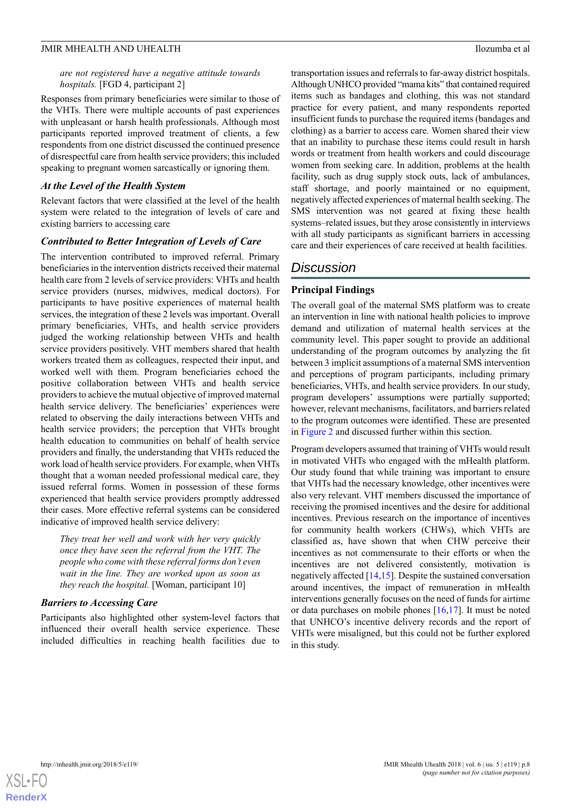# *are not registered have a negative attitude towards hospitals.* [FGD 4, participant 2]

Responses from primary beneficiaries were similar to those of the VHTs. There were multiple accounts of past experiences with unpleasant or harsh health professionals. Although most participants reported improved treatment of clients, a few respondents from one district discussed the continued presence of disrespectful care from health service providers; this included speaking to pregnant women sarcastically or ignoring them.

# *At the Level of the Health System*

Relevant factors that were classified at the level of the health system were related to the integration of levels of care and existing barriers to accessing care

# *Contributed to Better Integration of Levels of Care*

The intervention contributed to improved referral. Primary beneficiaries in the intervention districts received their maternal health care from 2 levels of service providers: VHTs and health service providers (nurses, midwives, medical doctors). For participants to have positive experiences of maternal health services, the integration of these 2 levels was important. Overall primary beneficiaries, VHTs, and health service providers judged the working relationship between VHTs and health service providers positively. VHT members shared that health workers treated them as colleagues, respected their input, and worked well with them. Program beneficiaries echoed the positive collaboration between VHTs and health service providers to achieve the mutual objective of improved maternal health service delivery. The beneficiaries' experiences were related to observing the daily interactions between VHTs and health service providers; the perception that VHTs brought health education to communities on behalf of health service providers and finally, the understanding that VHTs reduced the work load of health service providers. For example, when VHTs thought that a woman needed professional medical care, they issued referral forms. Women in possession of these forms experienced that health service providers promptly addressed their cases. More effective referral systems can be considered indicative of improved health service delivery:

*They treat her well and work with her very quickly once they have seen the referral from the VHT. The people who come with these referral forms don't even wait in the line. They are worked upon as soon as they reach the hospital.* [Woman, participant 10]

# *Barriers to Accessing Care*

Participants also highlighted other system-level factors that influenced their overall health service experience. These included difficulties in reaching health facilities due to

transportation issues and referrals to far-away district hospitals. Although UNHCO provided "mama kits" that contained required items such as bandages and clothing, this was not standard practice for every patient, and many respondents reported insufficient funds to purchase the required items (bandages and clothing) as a barrier to access care. Women shared their view that an inability to purchase these items could result in harsh words or treatment from health workers and could discourage women from seeking care. In addition, problems at the health facility, such as drug supply stock outs, lack of ambulances, staff shortage, and poorly maintained or no equipment, negatively affected experiences of maternal health seeking. The SMS intervention was not geared at fixing these health systems–related issues, but they arose consistently in interviews with all study participants as significant barriers in accessing care and their experiences of care received at health facilities.

# *Discussion*

# **Principal Findings**

The overall goal of the maternal SMS platform was to create an intervention in line with national health policies to improve demand and utilization of maternal health services at the community level. This paper sought to provide an additional understanding of the program outcomes by analyzing the fit between 3 implicit assumptions of a maternal SMS intervention and perceptions of program participants, including primary beneficiaries, VHTs, and health service providers. In our study, program developers' assumptions were partially supported; however, relevant mechanisms, facilitators, and barriers related to the program outcomes were identified. These are presented in [Figure 2](#page-8-0) and discussed further within this section.

Program developers assumed that training of VHTs would result in motivated VHTs who engaged with the mHealth platform. Our study found that while training was important to ensure that VHTs had the necessary knowledge, other incentives were also very relevant. VHT members discussed the importance of receiving the promised incentives and the desire for additional incentives. Previous research on the importance of incentives for community health workers (CHWs), which VHTs are classified as, have shown that when CHW perceive their incentives as not commensurate to their efforts or when the incentives are not delivered consistently, motivation is negatively affected  $[14,15]$  $[14,15]$  $[14,15]$  $[14,15]$ . Despite the sustained conversation around incentives, the impact of remuneration in mHealth interventions generally focuses on the need of funds for airtime or data purchases on mobile phones [\[16](#page-10-12),[17\]](#page-10-13). It must be noted that UNHCO's incentive delivery records and the report of VHTs were misaligned, but this could not be further explored in this study.

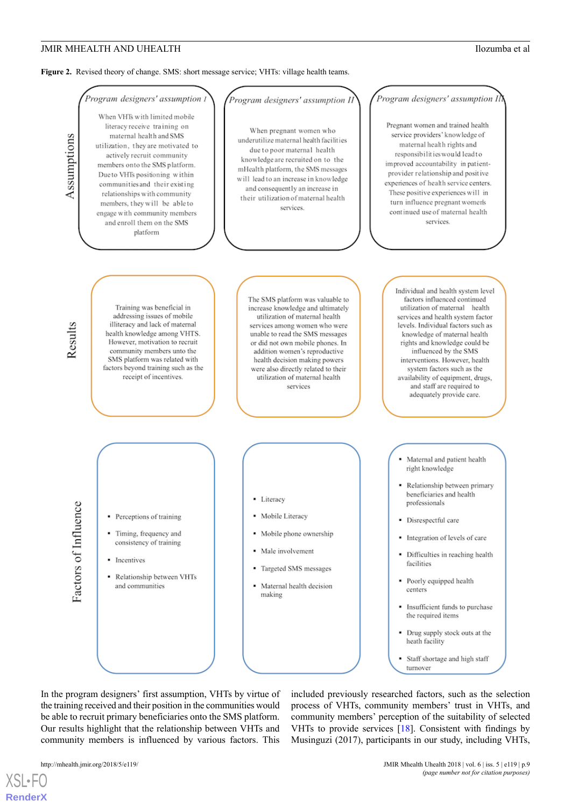<span id="page-8-0"></span>Figure 2. Revised theory of change. SMS: short message service; VHTs: village health teams.

# Program designers' assumption I When VHTs with limited mobile

Assumptions

literacy receive training on maternal health and SMS utilization, they are motivated to actively recruit community members onto the SMS platform. Due to VHTs positioning within communities and their existing relationships with community members, they will be able to engage with community members and enroll them on the SMS platform

# .<br>Program designers' assumption Ii

When pregnant women who underutilize maternal health facilities due to poor maternal health knowledge are recruited on to the mHealth platform, the SMS messages will lead to an increase in knowledge and consequently an increase in their utilization of maternal health services

# Program designers' assumption Il

Pregnant women and trained health service providers' knowledge of maternal health rights and responsibilities would lead to improved accountability in patientprovider relationship and positive experiences of health service centers. These positive experiences will in turn influence pregnant women's continued use of maternal health services

Results

Training was beneficial in addressing issues of mobile illiteracy and lack of maternal health knowledge among VHTS. However, motivation to recruit community members unto the SMS platform was related with factors beyond training such as the receipt of incentives.

Perceptions of training

Timing, frequency and

consistency of training

Relationship between VHTs

Incentives

and communities

The SMS platform was valuable to increase knowledge and ultimately utilization of maternal health services among women who were unable to read the SMS messages or did not own mobile phones. In addition women's reproductive health decision making powers were also directly related to their utilization of maternal health corvices

actors of Influence

- · Literacy
- Mobile Literacy
- · Mobile phone ownership
- Male involvement  $\blacksquare$
- Targeted SMS messages
- · Maternal health decision making

Individual and health system level factors influenced continued utilization of maternal health services and health system factor levels. Individual factors such as knowledge of maternal health rights and knowledge could be influenced by the SMS interventions. However, health system factors such as the availability of equipment, drugs. and staff are required to adequately provide care.

- Maternal and patient health right knowledge
- Relationship between primary beneficiaries and health professionals
- · Disrespectful care
- · Integration of levels of care
- Difficulties in reaching health facilities
- Poorly equipped health centers
- · Insufficient funds to purchase the required items
- Drug supply stock outs at the heath facility
- Staff shortage and high staff turnover

In the program designers' first assumption, VHTs by virtue of the training received and their position in the communities would be able to recruit primary beneficiaries onto the SMS platform. Our results highlight that the relationship between VHTs and community members is influenced by various factors. This

[XSL](http://www.w3.org/Style/XSL)•FO **[RenderX](http://www.renderx.com/)**

included previously researched factors, such as the selection process of VHTs, community members' trust in VHTs, and community members' perception of the suitability of selected VHTs to provide services [[18\]](#page-10-14). Consistent with findings by Musinguzi (2017), participants in our study, including VHTs,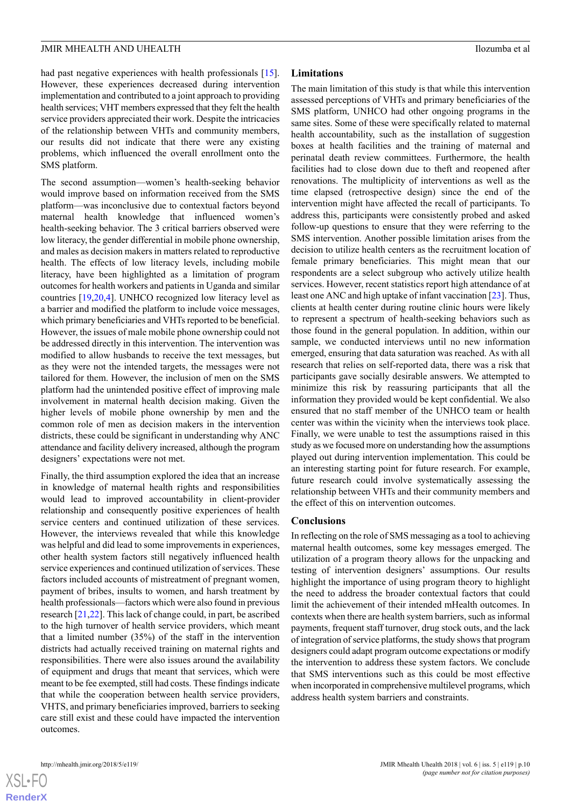had past negative experiences with health professionals [[15\]](#page-10-11). However, these experiences decreased during intervention implementation and contributed to a joint approach to providing health services; VHT members expressed that they felt the health service providers appreciated their work. Despite the intricacies of the relationship between VHTs and community members, our results did not indicate that there were any existing problems, which influenced the overall enrollment onto the SMS platform.

The second assumption—women's health-seeking behavior would improve based on information received from the SMS platform—was inconclusive due to contextual factors beyond maternal health knowledge that influenced women's health-seeking behavior. The 3 critical barriers observed were low literacy, the gender differential in mobile phone ownership, and males as decision makers in matters related to reproductive health. The effects of low literacy levels, including mobile literacy, have been highlighted as a limitation of program outcomes for health workers and patients in Uganda and similar countries [[19,](#page-11-0)[20](#page-11-1)[,4\]](#page-10-2). UNHCO recognized low literacy level as a barrier and modified the platform to include voice messages, which primary beneficiaries and VHTs reported to be beneficial. However, the issues of male mobile phone ownership could not be addressed directly in this intervention. The intervention was modified to allow husbands to receive the text messages, but as they were not the intended targets, the messages were not tailored for them. However, the inclusion of men on the SMS platform had the unintended positive effect of improving male involvement in maternal health decision making. Given the higher levels of mobile phone ownership by men and the common role of men as decision makers in the intervention districts, these could be significant in understanding why ANC attendance and facility delivery increased, although the program designers' expectations were not met.

Finally, the third assumption explored the idea that an increase in knowledge of maternal health rights and responsibilities would lead to improved accountability in client-provider relationship and consequently positive experiences of health service centers and continued utilization of these services. However, the interviews revealed that while this knowledge was helpful and did lead to some improvements in experiences, other health system factors still negatively influenced health service experiences and continued utilization of services. These factors included accounts of mistreatment of pregnant women, payment of bribes, insults to women, and harsh treatment by health professionals—factors which were also found in previous research [\[21](#page-11-2),[22\]](#page-11-3). This lack of change could, in part, be ascribed to the high turnover of health service providers, which meant that a limited number (35%) of the staff in the intervention districts had actually received training on maternal rights and responsibilities. There were also issues around the availability of equipment and drugs that meant that services, which were meant to be fee exempted, still had costs. These findings indicate that while the cooperation between health service providers, VHTS, and primary beneficiaries improved, barriers to seeking care still exist and these could have impacted the intervention outcomes.

# **Limitations**

The main limitation of this study is that while this intervention assessed perceptions of VHTs and primary beneficiaries of the SMS platform, UNHCO had other ongoing programs in the same sites. Some of these were specifically related to maternal health accountability, such as the installation of suggestion boxes at health facilities and the training of maternal and perinatal death review committees. Furthermore, the health facilities had to close down due to theft and reopened after renovations. The multiplicity of interventions as well as the time elapsed (retrospective design) since the end of the intervention might have affected the recall of participants. To address this, participants were consistently probed and asked follow-up questions to ensure that they were referring to the SMS intervention. Another possible limitation arises from the decision to utilize health centers as the recruitment location of female primary beneficiaries. This might mean that our respondents are a select subgroup who actively utilize health services. However, recent statistics report high attendance of at least one ANC and high uptake of infant vaccination [[23\]](#page-11-4). Thus, clients at health center during routine clinic hours were likely to represent a spectrum of health-seeking behaviors such as those found in the general population. In addition, within our sample, we conducted interviews until no new information emerged, ensuring that data saturation was reached. As with all research that relies on self-reported data, there was a risk that participants gave socially desirable answers. We attempted to minimize this risk by reassuring participants that all the information they provided would be kept confidential. We also ensured that no staff member of the UNHCO team or health center was within the vicinity when the interviews took place. Finally, we were unable to test the assumptions raised in this study as we focused more on understanding how the assumptions played out during intervention implementation. This could be an interesting starting point for future research. For example, future research could involve systematically assessing the relationship between VHTs and their community members and the effect of this on intervention outcomes.

# **Conclusions**

In reflecting on the role of SMS messaging as a tool to achieving maternal health outcomes, some key messages emerged. The utilization of a program theory allows for the unpacking and testing of intervention designers' assumptions. Our results highlight the importance of using program theory to highlight the need to address the broader contextual factors that could limit the achievement of their intended mHealth outcomes. In contexts when there are health system barriers, such as informal payments, frequent staff turnover, drug stock outs, and the lack of integration of service platforms, the study shows that program designers could adapt program outcome expectations or modify the intervention to address these system factors. We conclude that SMS interventions such as this could be most effective when incorporated in comprehensive multilevel programs, which address health system barriers and constraints.



 $XS$ -FO **[RenderX](http://www.renderx.com/)**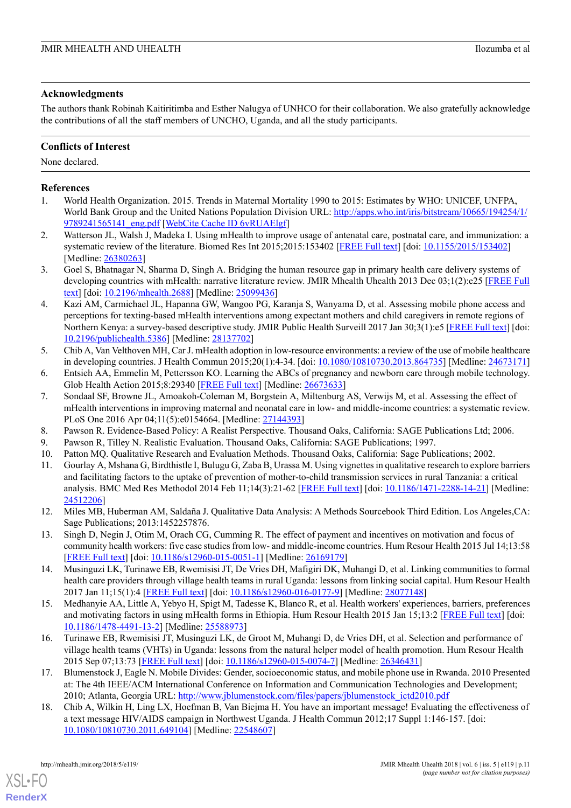# **Acknowledgments**

The authors thank Robinah Kaitiritimba and Esther Nalugya of UNHCO for their collaboration. We also gratefully acknowledge the contributions of all the staff members of UNCHO, Uganda, and all the study participants.

# **Conflicts of Interest**

None declared.

# <span id="page-10-0"></span>**References**

- <span id="page-10-1"></span>1. World Health Organization. 2015. Trends in Maternal Mortality 1990 to 2015: Estimates by WHO: UNICEF, UNFPA, World Bank Group and the United Nations Population Division URL: [http://apps.who.int/iris/bitstream/10665/194254/1/](http://apps.who.int/iris/bitstream/10665/194254/1/9789241565141_eng.pdf) [9789241565141\\_eng.pdf](http://apps.who.int/iris/bitstream/10665/194254/1/9789241565141_eng.pdf) [[WebCite Cache ID 6vRUAElgf\]](http://www.webcitation.org/6vRUAElgf)
- 2. Watterson JL, Walsh J, Madeka I. Using mHealth to improve usage of antenatal care, postnatal care, and immunization: a systematic review of the literature. Biomed Res Int 2015;2015:153402 [[FREE Full text](https://dx.doi.org/10.1155/2015/153402)] [doi: [10.1155/2015/153402](http://dx.doi.org/10.1155/2015/153402)] [Medline: [26380263](http://www.ncbi.nlm.nih.gov/entrez/query.fcgi?cmd=Retrieve&db=PubMed&list_uids=26380263&dopt=Abstract)]
- <span id="page-10-2"></span>3. Goel S, Bhatnagar N, Sharma D, Singh A. Bridging the human resource gap in primary health care delivery systems of developing countries with mHealth: narrative literature review. JMIR Mhealth Uhealth 2013 Dec 03;1(2):e25 [\[FREE Full](http://mhealth.jmir.org/2013/2/e25/) [text\]](http://mhealth.jmir.org/2013/2/e25/) [doi: [10.2196/mhealth.2688\]](http://dx.doi.org/10.2196/mhealth.2688) [Medline: [25099436](http://www.ncbi.nlm.nih.gov/entrez/query.fcgi?cmd=Retrieve&db=PubMed&list_uids=25099436&dopt=Abstract)]
- <span id="page-10-3"></span>4. Kazi AM, Carmichael JL, Hapanna GW, Wangoo PG, Karanja S, Wanyama D, et al. Assessing mobile phone access and perceptions for texting-based mHealth interventions among expectant mothers and child caregivers in remote regions of Northern Kenya: a survey-based descriptive study. JMIR Public Health Surveill 2017 Jan 30;3(1):e5 [[FREE Full text](http://publichealth.jmir.org/2017/1/e5/)] [doi: [10.2196/publichealth.5386\]](http://dx.doi.org/10.2196/publichealth.5386) [Medline: [28137702](http://www.ncbi.nlm.nih.gov/entrez/query.fcgi?cmd=Retrieve&db=PubMed&list_uids=28137702&dopt=Abstract)]
- 5. Chib A, Van Velthoven MH, Car J. mHealth adoption in low-resource environments: a review of the use of mobile healthcare in developing countries. J Health Commun 2015;20(1):4-34. [doi: [10.1080/10810730.2013.864735\]](http://dx.doi.org/10.1080/10810730.2013.864735) [Medline: [24673171](http://www.ncbi.nlm.nih.gov/entrez/query.fcgi?cmd=Retrieve&db=PubMed&list_uids=24673171&dopt=Abstract)]
- 6. Entsieh AA, Emmelin M, Pettersson KO. Learning the ABCs of pregnancy and newborn care through mobile technology. Glob Health Action 2015;8:29340 [\[FREE Full text\]](http://europepmc.org/abstract/MED/26673633) [Medline: [26673633](http://www.ncbi.nlm.nih.gov/entrez/query.fcgi?cmd=Retrieve&db=PubMed&list_uids=26673633&dopt=Abstract)]
- <span id="page-10-6"></span><span id="page-10-5"></span><span id="page-10-4"></span>7. Sondaal SF, Browne JL, Amoakoh-Coleman M, Borgstein A, Miltenburg AS, Verwijs M, et al. Assessing the effect of mHealth interventions in improving maternal and neonatal care in low- and middle-income countries: a systematic review. PLoS One 2016 Apr 04;11(5):e0154664. [Medline: [27144393](http://www.ncbi.nlm.nih.gov/entrez/query.fcgi?cmd=Retrieve&db=PubMed&list_uids=27144393&dopt=Abstract)]
- <span id="page-10-7"></span>8. Pawson R. Evidence-Based Policy: A Realist Perspective. Thousand Oaks, California: SAGE Publications Ltd; 2006.
- 9. Pawson R, Tilley N. Realistic Evaluation. Thousand Oaks, California: SAGE Publications; 1997.
- 10. Patton MQ. Qualitative Research and Evaluation Methods. Thousand Oaks, California: Sage Publications; 2002.
- <span id="page-10-9"></span><span id="page-10-8"></span>11. Gourlay A, Mshana G, Birdthistle I, Bulugu G, Zaba B, Urassa M. Using vignettes in qualitative research to explore barriers and facilitating factors to the uptake of prevention of mother-to-child transmission services in rural Tanzania: a critical analysis. BMC Med Res Methodol 2014 Feb 11;14(3):21-62 [\[FREE Full text](https://bmcmedresmethodol.biomedcentral.com/articles/10.1186/1471-2288-14-21)] [doi: [10.1186/1471-2288-14-21\]](http://dx.doi.org/10.1186/1471-2288-14-21) [Medline: [24512206](http://www.ncbi.nlm.nih.gov/entrez/query.fcgi?cmd=Retrieve&db=PubMed&list_uids=24512206&dopt=Abstract)]
- <span id="page-10-10"></span>12. Miles MB, Huberman AM, Saldaña J. Qualitative Data Analysis: A Methods Sourcebook Third Edition. Los Angeles,CA: Sage Publications; 2013:1452257876.
- <span id="page-10-11"></span>13. Singh D, Negin J, Otim M, Orach CG, Cumming R. The effect of payment and incentives on motivation and focus of community health workers: five case studies from low- and middle-income countries. Hum Resour Health 2015 Jul 14;13:58 [[FREE Full text](https://human-resources-health.biomedcentral.com/articles/10.1186/s12960-015-0051-1)] [doi: [10.1186/s12960-015-0051-1](http://dx.doi.org/10.1186/s12960-015-0051-1)] [Medline: [26169179](http://www.ncbi.nlm.nih.gov/entrez/query.fcgi?cmd=Retrieve&db=PubMed&list_uids=26169179&dopt=Abstract)]
- <span id="page-10-12"></span>14. Musinguzi LK, Turinawe EB, Rwemisisi JT, De Vries DH, Mafigiri DK, Muhangi D, et al. Linking communities to formal health care providers through village health teams in rural Uganda: lessons from linking social capital. Hum Resour Health 2017 Jan 11;15(1):4 [\[FREE Full text\]](https://human-resources-health.biomedcentral.com/articles/10.1186/s12960-016-0177-9) [doi: [10.1186/s12960-016-0177-9\]](http://dx.doi.org/10.1186/s12960-016-0177-9) [Medline: [28077148\]](http://www.ncbi.nlm.nih.gov/entrez/query.fcgi?cmd=Retrieve&db=PubMed&list_uids=28077148&dopt=Abstract)
- <span id="page-10-13"></span>15. Medhanyie AA, Little A, Yebyo H, Spigt M, Tadesse K, Blanco R, et al. Health workers' experiences, barriers, preferences and motivating factors in using mHealth forms in Ethiopia. Hum Resour Health 2015 Jan 15;13:2 [\[FREE Full text\]](https://human-resources-health.biomedcentral.com/articles/10.1186/1478-4491-13-2) [doi: [10.1186/1478-4491-13-2](http://dx.doi.org/10.1186/1478-4491-13-2)] [Medline: [25588973](http://www.ncbi.nlm.nih.gov/entrez/query.fcgi?cmd=Retrieve&db=PubMed&list_uids=25588973&dopt=Abstract)]
- <span id="page-10-14"></span>16. Turinawe EB, Rwemisisi JT, Musinguzi LK, de Groot M, Muhangi D, de Vries DH, et al. Selection and performance of village health teams (VHTs) in Uganda: lessons from the natural helper model of health promotion. Hum Resour Health 2015 Sep 07;13:73 [[FREE Full text](https://human-resources-health.biomedcentral.com/articles/10.1186/s12960-015-0074-7)] [doi: [10.1186/s12960-015-0074-7](http://dx.doi.org/10.1186/s12960-015-0074-7)] [Medline: [26346431](http://www.ncbi.nlm.nih.gov/entrez/query.fcgi?cmd=Retrieve&db=PubMed&list_uids=26346431&dopt=Abstract)]
- 17. Blumenstock J, Eagle N. Mobile Divides: Gender, socioeconomic status, and mobile phone use in Rwanda. 2010 Presented at: The 4th IEEE/ACM International Conference on Information and Communication Technologies and Development; 2010; Atlanta, Georgia URL: [http://www.jblumenstock.com/files/papers/jblumenstock\\_ictd2010.pdf](http://www.jblumenstock.com/files/papers/jblumenstock_ictd2010.pdf)
- 18. Chib A, Wilkin H, Ling LX, Hoefman B, Van Biejma H. You have an important message! Evaluating the effectiveness of a text message HIV/AIDS campaign in Northwest Uganda. J Health Commun 2012;17 Suppl 1:146-157. [doi: [10.1080/10810730.2011.649104](http://dx.doi.org/10.1080/10810730.2011.649104)] [Medline: [22548607](http://www.ncbi.nlm.nih.gov/entrez/query.fcgi?cmd=Retrieve&db=PubMed&list_uids=22548607&dopt=Abstract)]

[XSL](http://www.w3.org/Style/XSL)•FO **[RenderX](http://www.renderx.com/)**